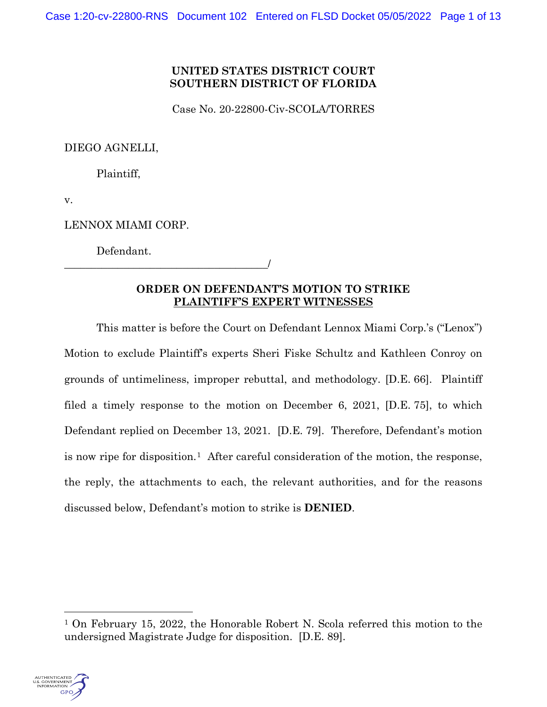# **UNITED STATES DISTRICT COURT SOUTHERN DISTRICT OF FLORIDA**

Case No. 20-22800-Civ-SCOLA/TORRES

DIEGO AGNELLI,

Plaintiff,

v.

LENNOX MIAMI CORP.

Defendant.

\_\_\_\_\_\_\_\_\_\_\_\_\_\_\_\_\_\_\_\_\_\_\_\_\_\_\_\_\_\_\_\_\_\_\_\_\_\_/

# **ORDER ON DEFENDANT'S MOTION TO STRIKE PLAINTIFF'S EXPERT WITNESSES**

This matter is before the Court on Defendant Lennox Miami Corp.'s ("Lenox") Motion to exclude Plaintiff's experts Sheri Fiske Schultz and Kathleen Conroy on grounds of untimeliness, improper rebuttal, and methodology. [D.E. 66]. Plaintiff filed a timely response to the motion on December 6, 2021, [D.E. 75], to which Defendant replied on December 13, 2021. [D.E. 79]. Therefore, Defendant's motion is now ripe for disposition.1 After careful consideration of the motion, the response, the reply, the attachments to each, the relevant authorities, and for the reasons discussed below, Defendant's motion to strike is **DENIED**.

<sup>1</sup> On February 15, 2022, the Honorable Robert N. Scola referred this motion to the undersigned Magistrate Judge for disposition. [D.E. 89].

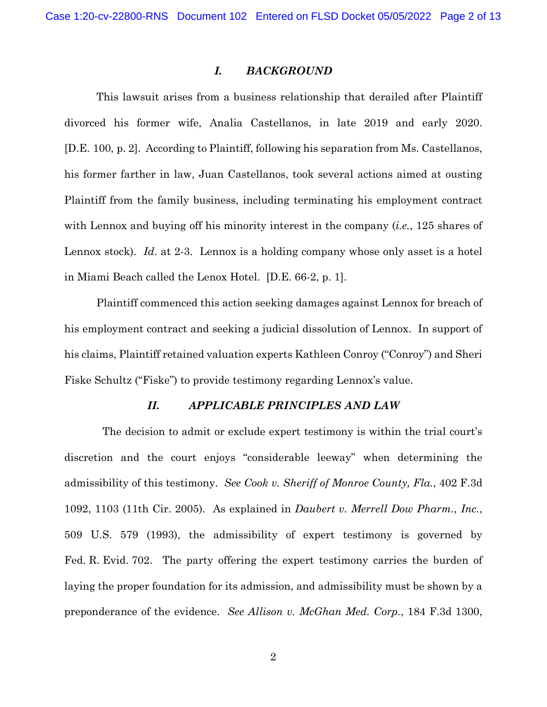#### *I. BACKGROUND*

This lawsuit arises from a business relationship that derailed after Plaintiff divorced his former wife, Analia Castellanos, in late 2019 and early 2020. [D.E. 100, p. 2]. According to Plaintiff, following his separation from Ms. Castellanos, his former farther in law, Juan Castellanos, took several actions aimed at ousting Plaintiff from the family business, including terminating his employment contract with Lennox and buying off his minority interest in the company (*i.e.*, 125 shares of Lennox stock). *Id*. at 2-3. Lennox is a holding company whose only asset is a hotel in Miami Beach called the Lenox Hotel. [D.E. 66-2, p. 1].

Plaintiff commenced this action seeking damages against Lennox for breach of his employment contract and seeking a judicial dissolution of Lennox. In support of his claims, Plaintiff retained valuation experts Kathleen Conroy ("Conroy") and Sheri Fiske Schultz ("Fiske") to provide testimony regarding Lennox's value.

### *II. APPLICABLE PRINCIPLES AND LAW*

The decision to admit or exclude expert testimony is within the trial court's discretion and the court enjoys "considerable leeway" when determining the admissibility of this testimony. *See Cook v. Sheriff of Monroe County, Fla.*, 402 F.3d 1092, 1103 (11th Cir. 2005). As explained in *Daubert v. Merrell Dow Pharm.*, *Inc.*, 509 U.S. 579 (1993), the admissibility of expert testimony is governed by Fed. R. Evid. 702. The party offering the expert testimony carries the burden of laying the proper foundation for its admission, and admissibility must be shown by a preponderance of the evidence. *See Allison v. McGhan Med. Corp.*, 184 F.3d 1300,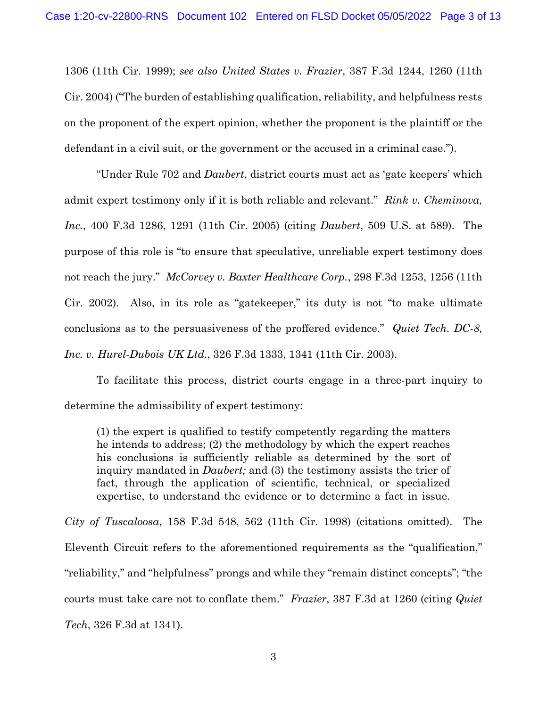1306 (11th Cir. 1999); *see also United States v. Frazier*, 387 F.3d 1244, 1260 (11th Cir. 2004) ("The burden of establishing qualification, reliability, and helpfulness rests on the proponent of the expert opinion, whether the proponent is the plaintiff or the defendant in a civil suit, or the government or the accused in a criminal case.").

"Under Rule 702 and *Daubert*, district courts must act as 'gate keepers' which admit expert testimony only if it is both reliable and relevant." *Rink v. Cheminova, Inc.*, 400 F.3d 1286, 1291 (11th Cir. 2005) (citing *Daubert*, 509 U.S. at 589). The purpose of this role is "to ensure that speculative, unreliable expert testimony does not reach the jury." *McCorvey v. Baxter Healthcare Corp.*, 298 F.3d 1253, 1256 (11th Cir. 2002). Also, in its role as "gatekeeper," its duty is not "to make ultimate conclusions as to the persuasiveness of the proffered evidence." *Quiet Tech. DC-8, Inc. v. Hurel-Dubois UK Ltd.*, 326 F.3d 1333, 1341 (11th Cir. 2003).

To facilitate this process, district courts engage in a three-part inquiry to determine the admissibility of expert testimony:

(1) the expert is qualified to testify competently regarding the matters he intends to address; (2) the methodology by which the expert reaches his conclusions is sufficiently reliable as determined by the sort of inquiry mandated in *Daubert;* and (3) the testimony assists the trier of fact, through the application of scientific, technical, or specialized expertise, to understand the evidence or to determine a fact in issue.

*City of Tuscaloosa*, 158 F.3d 548, 562 (11th Cir. 1998) (citations omitted). The Eleventh Circuit refers to the aforementioned requirements as the "qualification," "reliability," and "helpfulness" prongs and while they "remain distinct concepts"; "the courts must take care not to conflate them." *Frazier*, 387 F.3d at 1260 (citing *Quiet Tech*, 326 F.3d at 1341).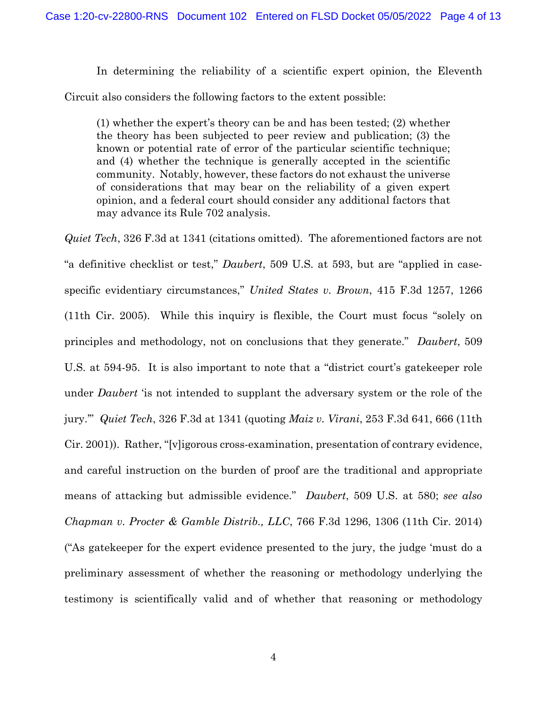In determining the reliability of a scientific expert opinion, the Eleventh Circuit also considers the following factors to the extent possible:

(1) whether the expert's theory can be and has been tested; (2) whether the theory has been subjected to peer review and publication; (3) the known or potential rate of error of the particular scientific technique; and (4) whether the technique is generally accepted in the scientific community. Notably, however, these factors do not exhaust the universe of considerations that may bear on the reliability of a given expert opinion, and a federal court should consider any additional factors that may advance its Rule 702 analysis.

*Quiet Tech*, 326 F.3d at 1341 (citations omitted). The aforementioned factors are not "a definitive checklist or test," *Daubert*, 509 U.S. at 593, but are "applied in casespecific evidentiary circumstances," *United States v. Brown*, 415 F.3d 1257, 1266 (11th Cir. 2005). While this inquiry is flexible, the Court must focus "solely on principles and methodology, not on conclusions that they generate." *Daubert*, 509 U.S. at 594-95. It is also important to note that a "district court's gatekeeper role under *Daubert* 'is not intended to supplant the adversary system or the role of the jury.'" *Quiet Tech*, 326 F.3d at 1341 (quoting *Maiz v. Virani*, 253 F.3d 641, 666 (11th Cir. 2001)). Rather, "[v]igorous cross-examination, presentation of contrary evidence, and careful instruction on the burden of proof are the traditional and appropriate means of attacking but admissible evidence." *Daubert*, 509 U.S. at 580; *see also Chapman v. Procter & Gamble Distrib., LLC*, 766 F.3d 1296, 1306 (11th Cir. 2014) ("As gatekeeper for the expert evidence presented to the jury, the judge 'must do a preliminary assessment of whether the reasoning or methodology underlying the testimony is scientifically valid and of whether that reasoning or methodology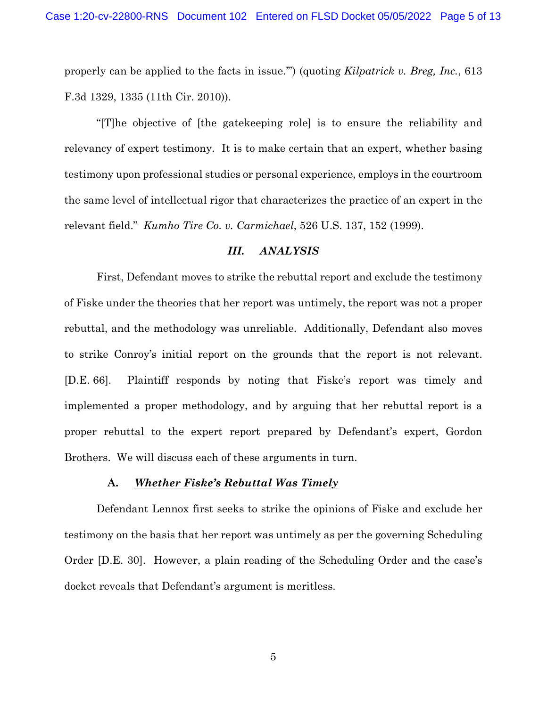properly can be applied to the facts in issue.'") (quoting *Kilpatrick v. Breg, Inc.*, 613 F.3d 1329, 1335 (11th Cir. 2010)).

"[T]he objective of [the gatekeeping role] is to ensure the reliability and relevancy of expert testimony. It is to make certain that an expert, whether basing testimony upon professional studies or personal experience, employs in the courtroom the same level of intellectual rigor that characterizes the practice of an expert in the relevant field." *Kumho Tire Co. v. Carmichael*, 526 U.S. 137, 152 (1999).

## *III. ANALYSIS*

First, Defendant moves to strike the rebuttal report and exclude the testimony of Fiske under the theories that her report was untimely, the report was not a proper rebuttal, and the methodology was unreliable. Additionally, Defendant also moves to strike Conroy's initial report on the grounds that the report is not relevant. [D.E. 66]. Plaintiff responds by noting that Fiske's report was timely and implemented a proper methodology, and by arguing that her rebuttal report is a proper rebuttal to the expert report prepared by Defendant's expert, Gordon Brothers. We will discuss each of these arguments in turn.

#### **A.** *Whether Fiske's Rebuttal Was Timely*

Defendant Lennox first seeks to strike the opinions of Fiske and exclude her testimony on the basis that her report was untimely as per the governing Scheduling Order [D.E. 30]. However, a plain reading of the Scheduling Order and the case's docket reveals that Defendant's argument is meritless.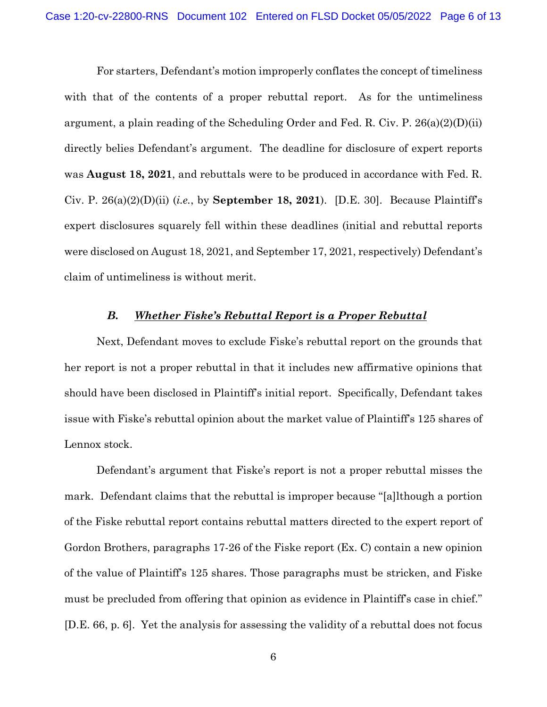For starters, Defendant's motion improperly conflates the concept of timeliness with that of the contents of a proper rebuttal report. As for the untimeliness argument, a plain reading of the Scheduling Order and Fed. R. Civ. P. 26(a)(2)(D)(ii) directly belies Defendant's argument. The deadline for disclosure of expert reports was **August 18, 2021**, and rebuttals were to be produced in accordance with Fed. R. Civ. P. 26(a)(2)(D)(ii) (*i.e.*, by **September 18, 2021**). [D.E. 30]. Because Plaintiff's expert disclosures squarely fell within these deadlines (initial and rebuttal reports were disclosed on August 18, 2021, and September 17, 2021, respectively) Defendant's claim of untimeliness is without merit.

#### *B. Whether Fiske's Rebuttal Report is a Proper Rebuttal*

Next, Defendant moves to exclude Fiske's rebuttal report on the grounds that her report is not a proper rebuttal in that it includes new affirmative opinions that should have been disclosed in Plaintiff's initial report. Specifically, Defendant takes issue with Fiske's rebuttal opinion about the market value of Plaintiff's 125 shares of Lennox stock.

Defendant's argument that Fiske's report is not a proper rebuttal misses the mark. Defendant claims that the rebuttal is improper because "[a]lthough a portion of the Fiske rebuttal report contains rebuttal matters directed to the expert report of Gordon Brothers, paragraphs 17-26 of the Fiske report (Ex. C) contain a new opinion of the value of Plaintiff's 125 shares. Those paragraphs must be stricken, and Fiske must be precluded from offering that opinion as evidence in Plaintiff's case in chief." [D.E. 66, p. 6]. Yet the analysis for assessing the validity of a rebuttal does not focus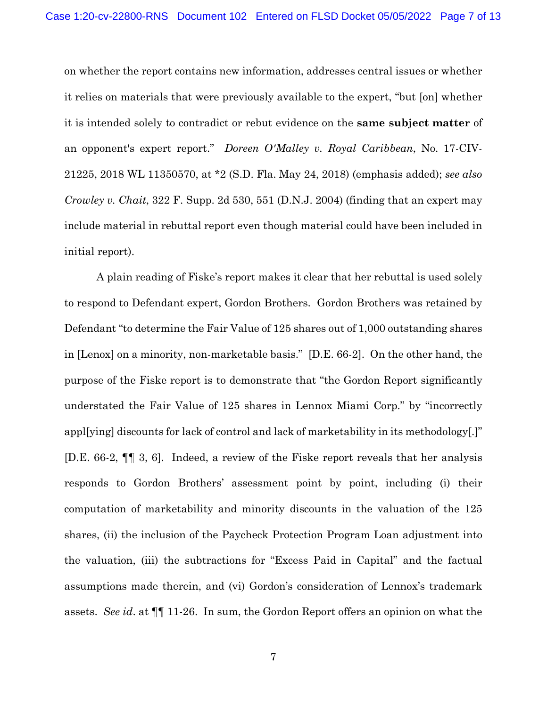on whether the report contains new information, addresses central issues or whether it relies on materials that were previously available to the expert, "but [on] whether it is intended solely to contradict or rebut evidence on the **same subject matter** of an opponent's expert report." *Doreen O'Malley v. Royal Caribbean*, No. 17-CIV-21225, 2018 WL 11350570, at \*2 (S.D. Fla. May 24, 2018) (emphasis added); *see also Crowley v. Chait*, 322 F. Supp. 2d 530, 551 (D.N.J. 2004) (finding that an expert may include material in rebuttal report even though material could have been included in initial report).

A plain reading of Fiske's report makes it clear that her rebuttal is used solely to respond to Defendant expert, Gordon Brothers. Gordon Brothers was retained by Defendant "to determine the Fair Value of 125 shares out of 1,000 outstanding shares in [Lenox] on a minority, non-marketable basis." [D.E. 66-2]. On the other hand, the purpose of the Fiske report is to demonstrate that "the Gordon Report significantly understated the Fair Value of 125 shares in Lennox Miami Corp." by "incorrectly appl[ying] discounts for lack of control and lack of marketability in its methodology[.]" [D.E. 66-2, ¶¶ 3, 6]. Indeed, a review of the Fiske report reveals that her analysis responds to Gordon Brothers' assessment point by point, including (i) their computation of marketability and minority discounts in the valuation of the 125 shares, (ii) the inclusion of the Paycheck Protection Program Loan adjustment into the valuation, (iii) the subtractions for "Excess Paid in Capital" and the factual assumptions made therein, and (vi) Gordon's consideration of Lennox's trademark assets. *See id*. at ¶¶ 11-26. In sum, the Gordon Report offers an opinion on what the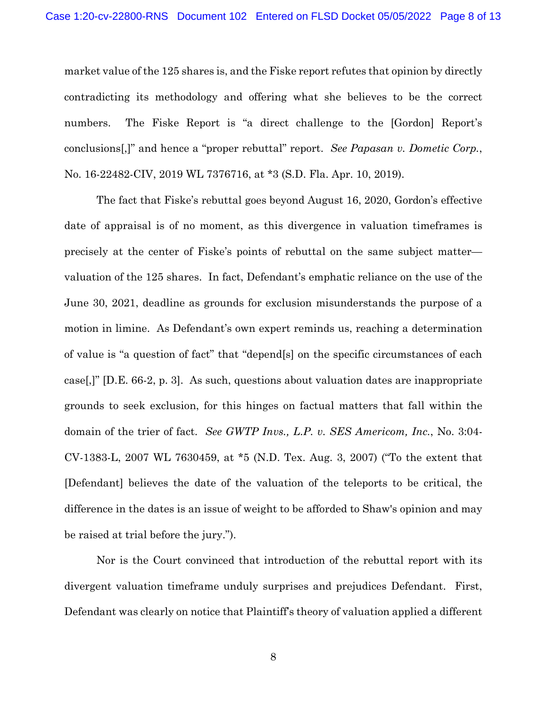market value of the 125 shares is, and the Fiske report refutes that opinion by directly contradicting its methodology and offering what she believes to be the correct numbers. The Fiske Report is "a direct challenge to the [Gordon] Report's conclusions[,]" and hence a "proper rebuttal" report. *See Papasan v. Dometic Corp.*, No. 16-22482-CIV, 2019 WL 7376716, at \*3 (S.D. Fla. Apr. 10, 2019).

The fact that Fiske's rebuttal goes beyond August 16, 2020, Gordon's effective date of appraisal is of no moment, as this divergence in valuation timeframes is precisely at the center of Fiske's points of rebuttal on the same subject matter valuation of the 125 shares. In fact, Defendant's emphatic reliance on the use of the June 30, 2021, deadline as grounds for exclusion misunderstands the purpose of a motion in limine. As Defendant's own expert reminds us, reaching a determination of value is "a question of fact" that "depend[s] on the specific circumstances of each case[,]" [D.E. 66-2, p. 3]. As such, questions about valuation dates are inappropriate grounds to seek exclusion, for this hinges on factual matters that fall within the domain of the trier of fact. *See GWTP Invs., L.P. v. SES Americom, Inc.*, No. 3:04- CV-1383-L, 2007 WL 7630459, at \*5 (N.D. Tex. Aug. 3, 2007) ("To the extent that [Defendant] believes the date of the valuation of the teleports to be critical, the difference in the dates is an issue of weight to be afforded to Shaw's opinion and may be raised at trial before the jury.").

Nor is the Court convinced that introduction of the rebuttal report with its divergent valuation timeframe unduly surprises and prejudices Defendant. First, Defendant was clearly on notice that Plaintiff's theory of valuation applied a different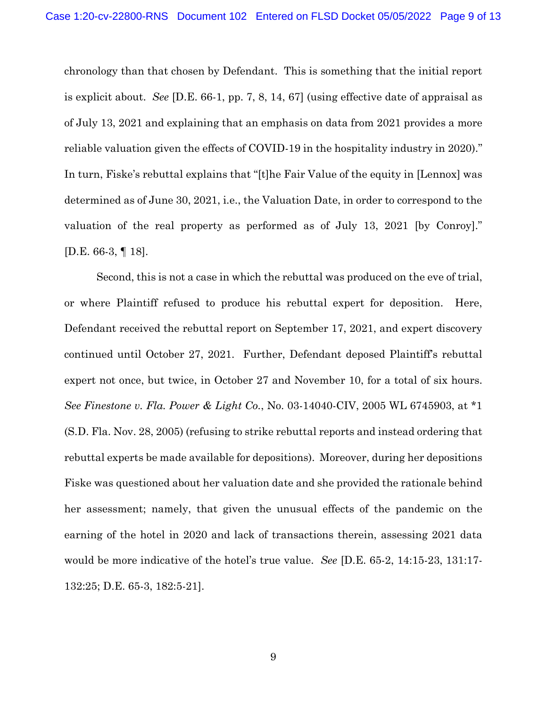chronology than that chosen by Defendant. This is something that the initial report is explicit about. *See* [D.E. 66-1, pp. 7, 8, 14, 67] (using effective date of appraisal as of July 13, 2021 and explaining that an emphasis on data from 2021 provides a more reliable valuation given the effects of COVID-19 in the hospitality industry in 2020)." In turn, Fiske's rebuttal explains that "[t]he Fair Value of the equity in [Lennox] was determined as of June 30, 2021, i.e., the Valuation Date, in order to correspond to the valuation of the real property as performed as of July 13, 2021 [by Conroy]." [D.E. 66-3, ¶ 18].

Second, this is not a case in which the rebuttal was produced on the eve of trial, or where Plaintiff refused to produce his rebuttal expert for deposition. Here, Defendant received the rebuttal report on September 17, 2021, and expert discovery continued until October 27, 2021. Further, Defendant deposed Plaintiff's rebuttal expert not once, but twice, in October 27 and November 10, for a total of six hours. *See Finestone v. Fla. Power & Light Co.*, No. 03-14040-CIV, 2005 WL 6745903, at \*1 (S.D. Fla. Nov. 28, 2005) (refusing to strike rebuttal reports and instead ordering that rebuttal experts be made available for depositions). Moreover, during her depositions Fiske was questioned about her valuation date and she provided the rationale behind her assessment; namely, that given the unusual effects of the pandemic on the earning of the hotel in 2020 and lack of transactions therein, assessing 2021 data would be more indicative of the hotel's true value. *See* [D.E. 65-2, 14:15-23, 131:17- 132:25; D.E. 65-3, 182:5-21].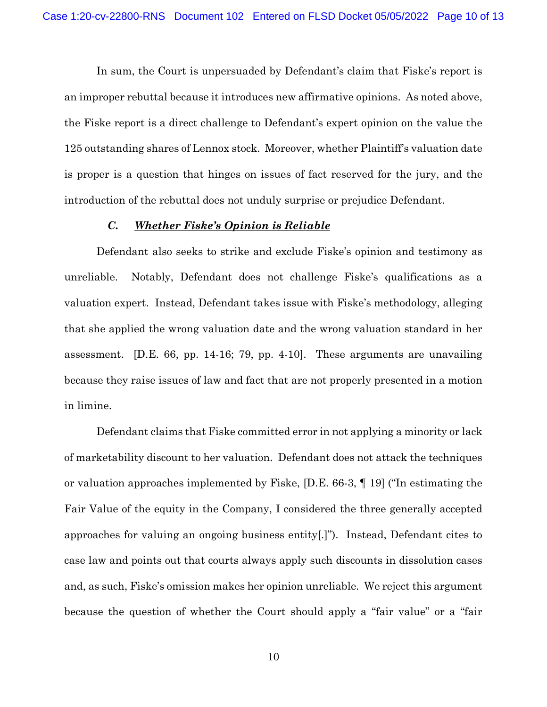In sum, the Court is unpersuaded by Defendant's claim that Fiske's report is an improper rebuttal because it introduces new affirmative opinions. As noted above, the Fiske report is a direct challenge to Defendant's expert opinion on the value the 125 outstanding shares of Lennox stock. Moreover, whether Plaintiff's valuation date is proper is a question that hinges on issues of fact reserved for the jury, and the introduction of the rebuttal does not unduly surprise or prejudice Defendant.

## *C. Whether Fiske's Opinion is Reliable*

Defendant also seeks to strike and exclude Fiske's opinion and testimony as unreliable. Notably, Defendant does not challenge Fiske's qualifications as a valuation expert. Instead, Defendant takes issue with Fiske's methodology, alleging that she applied the wrong valuation date and the wrong valuation standard in her assessment. [D.E. 66, pp. 14-16; 79, pp. 4-10]. These arguments are unavailing because they raise issues of law and fact that are not properly presented in a motion in limine.

Defendant claims that Fiske committed error in not applying a minority or lack of marketability discount to her valuation. Defendant does not attack the techniques or valuation approaches implemented by Fiske, [D.E. 66-3, ¶ 19] ("In estimating the Fair Value of the equity in the Company, I considered the three generally accepted approaches for valuing an ongoing business entity[.]"). Instead, Defendant cites to case law and points out that courts always apply such discounts in dissolution cases and, as such, Fiske's omission makes her opinion unreliable. We reject this argument because the question of whether the Court should apply a "fair value" or a "fair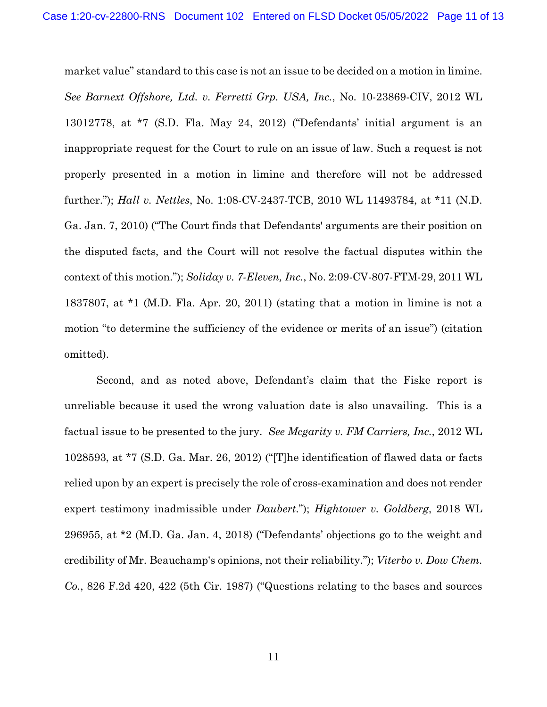market value" standard to this case is not an issue to be decided on a motion in limine. *See Barnext Offshore, Ltd. v. Ferretti Grp. USA, Inc.*, No. 10-23869-CIV, 2012 WL 13012778, at \*7 (S.D. Fla. May 24, 2012) ("Defendants' initial argument is an inappropriate request for the Court to rule on an issue of law. Such a request is not properly presented in a motion in limine and therefore will not be addressed further."); *Hall v. Nettles*, No. 1:08-CV-2437-TCB, 2010 WL 11493784, at \*11 (N.D. Ga. Jan. 7, 2010) ("The Court finds that Defendants' arguments are their position on the disputed facts, and the Court will not resolve the factual disputes within the context of this motion."); *Soliday v. 7-Eleven, Inc.*, No. 2:09-CV-807-FTM-29, 2011 WL 1837807, at \*1 (M.D. Fla. Apr. 20, 2011) (stating that a motion in limine is not a motion "to determine the sufficiency of the evidence or merits of an issue") (citation omitted).

Second, and as noted above, Defendant's claim that the Fiske report is unreliable because it used the wrong valuation date is also unavailing. This is a factual issue to be presented to the jury. *See Mcgarity v. FM Carriers, Inc.*, 2012 WL 1028593, at \*7 (S.D. Ga. Mar. 26, 2012) ("[T]he identification of flawed data or facts relied upon by an expert is precisely the role of cross-examination and does not render expert testimony inadmissible under *Daubert*."); *Hightower v. Goldberg*, 2018 WL 296955, at \*2 (M.D. Ga. Jan. 4, 2018) ("Defendants' objections go to the weight and credibility of Mr. Beauchamp's opinions, not their reliability."); *Viterbo v. Dow Chem. Co.*, 826 F.2d 420, 422 (5th Cir. 1987) ("Questions relating to the bases and sources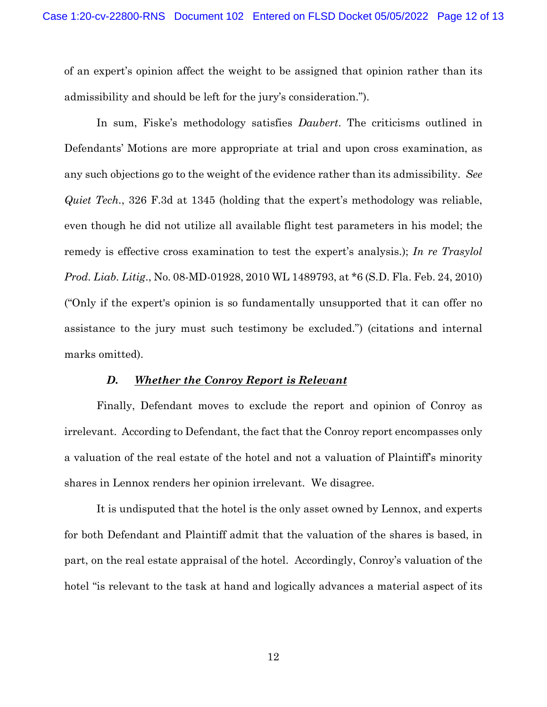of an expert's opinion affect the weight to be assigned that opinion rather than its admissibility and should be left for the jury's consideration.").

In sum, Fiske's methodology satisfies *Daubert*. The criticisms outlined in Defendants' Motions are more appropriate at trial and upon cross examination, as any such objections go to the weight of the evidence rather than its admissibility. *See Quiet Tech.*, 326 F.3d at 1345 (holding that the expert's methodology was reliable, even though he did not utilize all available flight test parameters in his model; the remedy is effective cross examination to test the expert's analysis.); *In re Trasylol Prod. Liab. Litig*., No. 08-MD-01928, 2010 WL 1489793, at \*6 (S.D. Fla. Feb. 24, 2010) ("Only if the expert's opinion is so fundamentally unsupported that it can offer no assistance to the jury must such testimony be excluded.") (citations and internal marks omitted).

### *D. Whether the Conroy Report is Relevant*

Finally, Defendant moves to exclude the report and opinion of Conroy as irrelevant. According to Defendant, the fact that the Conroy report encompasses only a valuation of the real estate of the hotel and not a valuation of Plaintiff's minority shares in Lennox renders her opinion irrelevant. We disagree.

It is undisputed that the hotel is the only asset owned by Lennox, and experts for both Defendant and Plaintiff admit that the valuation of the shares is based, in part, on the real estate appraisal of the hotel. Accordingly, Conroy's valuation of the hotel "is relevant to the task at hand and logically advances a material aspect of its